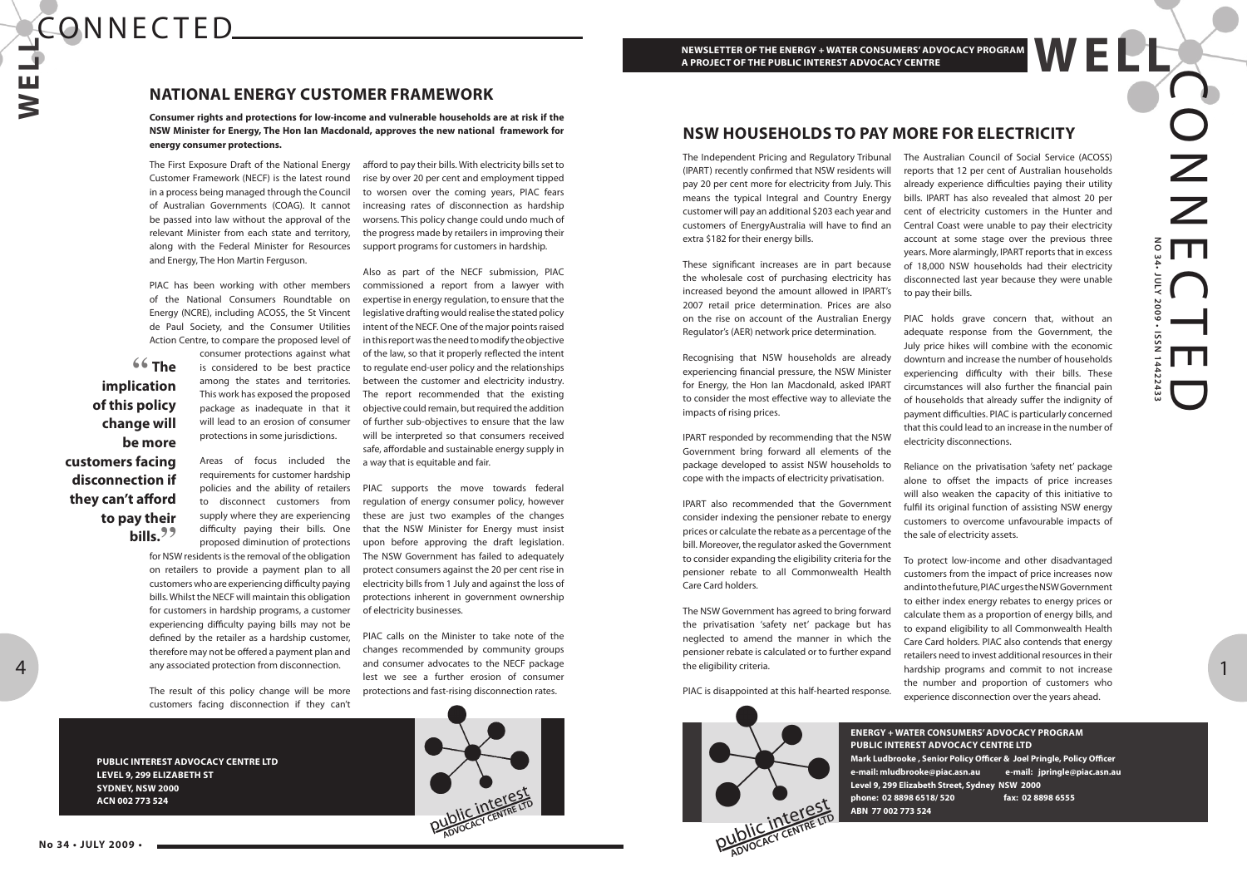# **W E L L** CONNECTED.

OZ Z **NO 34• JULY 2009 • ISSN 14422433** E $\bigcap$ **NLY** 5005  $\overline{\phantom{0}}$ **ISSN** E2243: D

1

#### **ENERGY + WATER CONSUMERS' ADVOCACY PROGRAM PUBLIC INTEREST ADVOCACY CENTRE LTD Mark Ludbrooke , Senior Policy Officer & Joel Pringle, Policy Officer e-mail: mludbrooke@piac.asn.au e-mail: jpringle@piac.asn.au**

**Level 9, 299 Elizabeth Street, Sydney NSW 2000 phone: 02 8898 6518/ 520 fax: 02 8898 6555**

**ABN 77 002 773 524**

**PUBLIC INTEREST ADVOCACY CENTRE LTD LEVEL 9, 299 ELIZABETH ST SYDNEY, NSW 2000 ACN 002 773 524**

**" The implication of this policy change will be more to pay their** 

**customers facing disconnection if they can't afford bills."**

The First Exposure Draft of the National Energy Customer Framework (NECF) is the latest round in a process being managed through the Council of Australian Governments (COAG). It cannot be passed into law without the approval of the relevant Minister from each state and territory, along with the Federal Minister for Resources and Energy, The Hon Martin Ferguson.

PIAC has been working with other members of the National Consumers Roundtable on Energy (NCRE), including ACOSS, the St Vincent de Paul Society, and the Consumer Utilities Action Centre, to compare the proposed level of

> consumer protections against what is considered to be best practice among the states and territories. This work has exposed the proposed package as inadequate in that it will lead to an erosion of consumer protections in some jurisdictions.

> Areas of focus included the requirements for customer hardship policies and the ability of retailers to disconnect customers from supply where they are experiencing difficulty paying their bills. One proposed diminution of protections

for NSW residents is the removal of the obligation on retailers to provide a payment plan to all customers who are experiencing difficulty paying bills. Whilst the NECF will maintain this obligation for customers in hardship programs, a customer experiencing difficulty paying bills may not be defined by the retailer as a hardship customer, therefore may not be offered a payment plan and any associated protection from disconnection.

The result of this policy change will be more customers facing disconnection if they can't

afford to pay their bills. With electricity bills set to rise by over 20 per cent and employment tipped to worsen over the coming years, PIAC fears increasing rates of disconnection as hardship worsens. This policy change could undo much of the progress made by retailers in improving their support programs for customers in hardship.

Also as part of the NECF submission, PIAC commissioned a report from a lawyer with expertise in energy regulation, to ensure that the legislative drafting would realise the stated policy intent of the NECF. One of the major points raised in this report was the need to modify the objective of the law, so that it properly reflected the intent to regulate end-user policy and the relationships between the customer and electricity industry. The report recommended that the existing objective could remain, but required the addition of further sub-objectives to ensure that the law will be interpreted so that consumers received safe, affordable and sustainable energy supply in a way that is equitable and fair.

PIAC supports the move towards federal regulation of energy consumer policy, however these are just two examples of the changes that the NSW Minister for Energy must insist upon before approving the draft legislation. The NSW Government has failed to adequately protect consumers against the 20 per cent rise in electricity bills from 1 July and against the loss of protections inherent in government ownership of electricity businesses.

PIAC calls on the Minister to take note of the changes recommended by community groups and consumer advocates to the NECF package lest we see a further erosion of consumer protections and fast-rising disconnection rates.



## **NATIONAL ENERGY CUSTOMER FRAMEWORK**

**Consumer rights and protections for low-income and vulnerable households are at risk if the NSW Minister for Energy, The Hon Ian Macdonald, approves the new national framework for energy consumer protections.**

The Independent Pricing and Regulatory Tribunal (IPART) recently confirmed that NSW residents will pay 20 per cent more for electricity from July. This means the typical Integral and Country Energy customer will pay an additional \$203 each year and customers of EnergyAustralia will have to find an extra \$182 for their energy bills.

These significant increases are in part because the wholesale cost of purchasing electricity has increased beyond the amount allowed in IPART's 2007 retail price determination. Prices are also on the rise on account of the Australian Energy Regulator's (AER) network price determination.

Recognising that NSW households are already experiencing financial pressure, the NSW Minister for Energy, the Hon Ian Macdonald, asked IPART to consider the most effective way to alleviate the impacts of rising prices.

IPART responded by recommending that the NSW Government bring forward all elements of the package developed to assist NSW households to cope with the impacts of electricity privatisation.

IPART also recommended that the Government consider indexing the pensioner rebate to energy prices or calculate the rebate as a percentage of the bill. Moreover, the regulator asked the Government to consider expanding the eligibility criteria for the pensioner rebate to all Commonwealth Health Care Card holders.

The NSW Government has agreed to bring forward the privatisation 'safety net' package but has neglected to amend the manner in which the pensioner rebate is calculated or to further expand the eligibility criteria.

PIAC is disappointed at this half-hearted response.



The Australian Council of Social Service (ACOSS) reports that 12 per cent of Australian households already experience difficulties paying their utility bills. IPART has also revealed that almost 20 per cent of electricity customers in the Hunter and Central Coast were unable to pay their electricity account at some stage over the previous three years. More alarmingly, IPART reports that in excess of 18,000 NSW households had their electricity disconnected last year because they were unable to pay their bills.

PIAC holds grave concern that, without an adequate response from the Government, the July price hikes will combine with the economic downturn and increase the number of households experiencing difficulty with their bills. These circumstances will also further the financial pain of households that already suffer the indignity of payment difficulties. PIAC is particularly concerned that this could lead to an increase in the number of electricity disconnections.

Reliance on the privatisation 'safety net' package alone to offset the impacts of price increases will also weaken the capacity of this initiative to fulfil its original function of assisting NSW energy customers to overcome unfavourable impacts of the sale of electricity assets.

To protect low-income and other disadvantaged customers from the impact of price increases now and into the future, PIAC urges the NSW Government to either index energy rebates to energy prices or calculate them as a proportion of energy bills, and to expand eligibility to all Commonwealth Health Care Card holders. PIAC also contends that energy retailers need to invest additional resources in their hardship programs and commit to not increase the number and proportion of customers who experience disconnection over the years ahead.

# **NSW HOUSEHOLDS TO PAY MORE FOR ELECTRICITY**